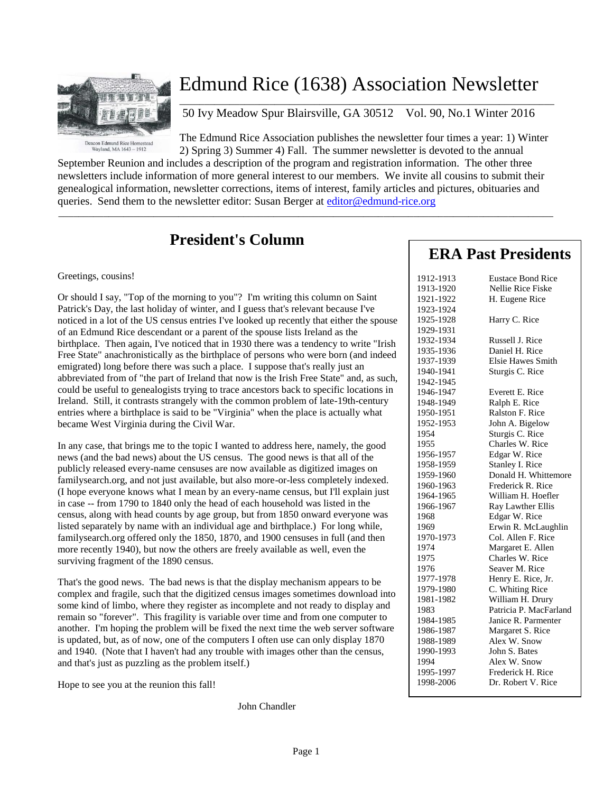

# Edmund Rice (1638) Association Newsletter

50 Ivy Meadow Spur Blairsville, GA 30512 Vol. 90, No.1 Winter 2016

The Edmund Rice Association publishes the newsletter four times a year: 1) Winter 2) Spring 3) Summer 4) Fall. The summer newsletter is devoted to the annual

 $\overline{\phantom{a}}$  , and the set of the set of the set of the set of the set of the set of the set of the set of the set of the set of the set of the set of the set of the set of the set of the set of the set of the set of the s

September Reunion and includes a description of the program and registration information. The other three newsletters include information of more general interest to our members. We invite all cousins to submit their genealogical information, newsletter corrections, items of interest, family articles and pictures, obituaries and queries. Send them to the newsletter editor: Susan Berger at [editor@edmund-rice.org](mailto:editor@edmund-rice.org)

 $\_$  , and the set of the set of the set of the set of the set of the set of the set of the set of the set of the set of the set of the set of the set of the set of the set of the set of the set of the set of the set of th

## **President's Column**

Greetings, cousins!

Or should I say, "Top of the morning to you"? I'm writing this column on Saint Patrick's Day, the last holiday of winter, and I guess that's relevant because I've noticed in a lot of the US census entries I've looked up recently that either the spouse of an Edmund Rice descendant or a parent of the spouse lists Ireland as the birthplace. Then again, I've noticed that in 1930 there was a tendency to write "Irish Free State" anachronistically as the birthplace of persons who were born (and indeed emigrated) long before there was such a place. I suppose that's really just an abbreviated from of "the part of Ireland that now is the Irish Free State" and, as such, could be useful to genealogists trying to trace ancestors back to specific locations in Ireland. Still, it contrasts strangely with the common problem of late-19th-century entries where a birthplace is said to be "Virginia" when the place is actually what became West Virginia during the Civil War.

In any case, that brings me to the topic I wanted to address here, namely, the good news (and the bad news) about the US census. The good news is that all of the publicly released every-name censuses are now available as digitized images on familysearch.org, and not just available, but also more-or-less completely indexed. (I hope everyone knows what I mean by an every-name census, but I'll explain just in case -- from 1790 to 1840 only the head of each household was listed in the census, along with head counts by age group, but from 1850 onward everyone was listed separately by name with an individual age and birthplace.) For long while, familysearch.org offered only the 1850, 1870, and 1900 censuses in full (and then more recently 1940), but now the others are freely available as well, even the surviving fragment of the 1890 census.

That's the good news. The bad news is that the display mechanism appears to be complex and fragile, such that the digitized census images sometimes download into some kind of limbo, where they register as incomplete and not ready to display and remain so "forever". This fragility is variable over time and from one computer to another. I'm hoping the problem will be fixed the next time the web server software is updated, but, as of now, one of the computers I often use can only display 1870 and 1940. (Note that I haven't had any trouble with images other than the census, and that's just as puzzling as the problem itself.)

Hope to see you at the reunion this fall!

John Chandler

### **ERA Past Presidents**

| 1912-1913 | <b>Eustace Bond Rice</b> |
|-----------|--------------------------|
| 1913-1920 | Nellie Rice Fiske        |
| 1921-1922 | H. Eugene Rice           |
| 1923-1924 |                          |
| 1925-1928 | Harry C. Rice            |
| 1929-1931 |                          |
| 1932-1934 | Russell J. Rice          |
| 1935-1936 | Daniel H. Rice           |
| 1937-1939 | Elsie Hawes Smith        |
| 1940-1941 | Sturgis C. Rice          |
| 1942-1945 |                          |
| 1946-1947 | Everett E. Rice          |
| 1948-1949 | Ralph E. Rice            |
| 1950-1951 | Ralston F. Rice          |
| 1952-1953 | John A. Bigelow          |
| 1954      | Sturgis C. Rice          |
| 1955      | Charles W. Rice          |
| 1956-1957 | Edgar W. Rice            |
| 1958-1959 | Stanley I. Rice          |
| 1959-1960 | Donald H. Whittemore     |
| 1960-1963 | Frederick R. Rice        |
| 1964-1965 | William H. Hoefler       |
| 1966-1967 | Ray Lawther Ellis        |
| 1968      | Edgar W. Rice            |
| 1969      | Erwin R. McLaughlin      |
| 1970-1973 | Col. Allen F. Rice       |
| 1974      | Margaret E. Allen        |
| 1975      | Charles W. Rice          |
| 1976      | Seaver M. Rice           |
| 1977-1978 | Henry E. Rice, Jr.       |
| 1979-1980 | C. Whiting Rice          |
| 1981-1982 | William H. Drury         |
| 1983      | Patricia P. MacFarland   |
| 1984-1985 | Janice R. Parmenter      |
| 1986-1987 | Margaret S. Rice         |
| 1988-1989 | Alex W. Snow             |
| 1990-1993 | John S. Bates            |
| 1994      | Alex W. Snow             |
| 1995-1997 | Frederick H. Rice        |
| 1998-2006 | Dr. Robert V. Rice       |
|           |                          |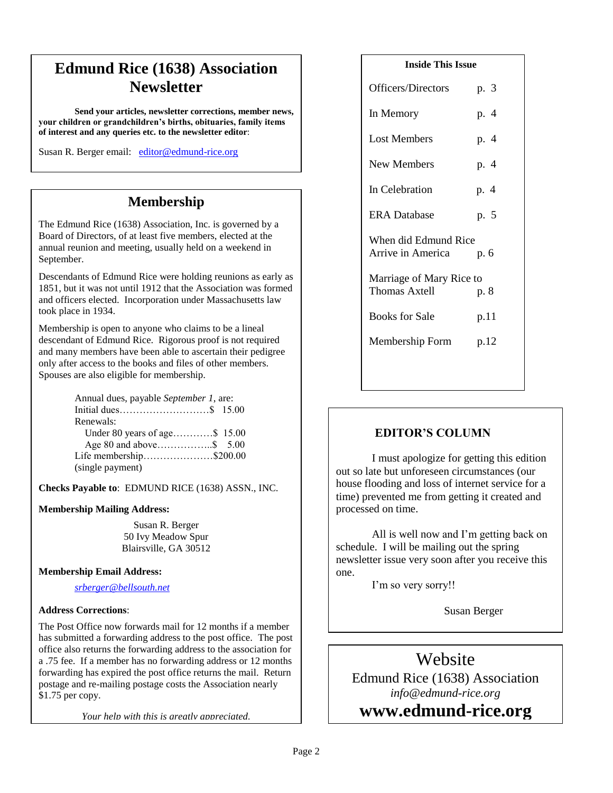## **Edmund Rice (1638) Association Newsletter**

**Send your articles, newsletter corrections, member news, your children or grandchildren's births, obituaries, family items of interest and any queries etc. to the newsletter editor**:

Susan R. Berger email: [editor@edmund-rice.org](mailto:editor@edmund-rice.org)

### **Membership**

The Edmund Rice (1638) Association, Inc. is governed by a Board of Directors, of at least five members, elected at the annual reunion and meeting, usually held on a weekend in September.

Descendants of Edmund Rice were holding reunions as early as 1851, but it was not until 1912 that the Association was formed and officers elected. Incorporation under Massachusetts law took place in 1934.

Membership is open to anyone who claims to be a lineal descendant of Edmund Rice. Rigorous proof is not required and many members have been able to ascertain their pedigree only after access to the books and files of other members. Spouses are also eligible for membership.

| Annual dues, payable September 1, are: |  |
|----------------------------------------|--|
|                                        |  |
| Renewals:                              |  |
| Under 80 years of age\$ 15.00          |  |
|                                        |  |
| Life membership\$200.00                |  |
| (single payment)                       |  |

**Checks Payable to**: EDMUND RICE (1638) ASSN., INC.

#### **Membership Mailing Address:**

Susan R. Berger 50 Ivy Meadow Spur Blairsville, GA 30512

#### **Membership Email Address:**

*[srberger@bellsouth.net](mailto:srberger@bellsouth.net)*

#### **Address Corrections**:

The Post Office now forwards mail for 12 months if a member has submitted a forwarding address to the post office. The post office also returns the forwarding address to the association for a .75 fee. If a member has no forwarding address or 12 months forwarding has expired the post office returns the mail. Return postage and re-mailing postage costs the Association nearly \$1.75 per copy.

*Your help with this is greatly appreciated.*

| <b>Inside This Issue</b> |      |  |
|--------------------------|------|--|
| Officers/Directors       | p. 3 |  |
| In Memory                | p. 4 |  |
| <b>Lost Members</b>      | p. 4 |  |
| New Members              | p. 4 |  |
| In Celebration           | p. 4 |  |
| <b>ERA</b> Database      | p. 5 |  |
| When did Edmund Rice     |      |  |
| Arrive in America        | p. 6 |  |
| Marriage of Mary Rice to |      |  |
| <b>Thomas Axtell</b>     | p. 8 |  |
| <b>Books for Sale</b>    | p.11 |  |
| Membership Form p.12     |      |  |
|                          |      |  |

#### **EDITOR'S COLUMN**

I must apologize for getting this edition out so late but unforeseen circumstances (our house flooding and loss of internet service for a time) prevented me from getting it created and processed on time.

All is well now and I'm getting back on schedule. I will be mailing out the spring newsletter issue very soon after you receive this one.

I'm so very sorry!!

Susan Berger

## Website

Edmund Rice (1638) Association *info@edmund-rice.org*

**2014 - 2015 Officers www.edmund-rice.org**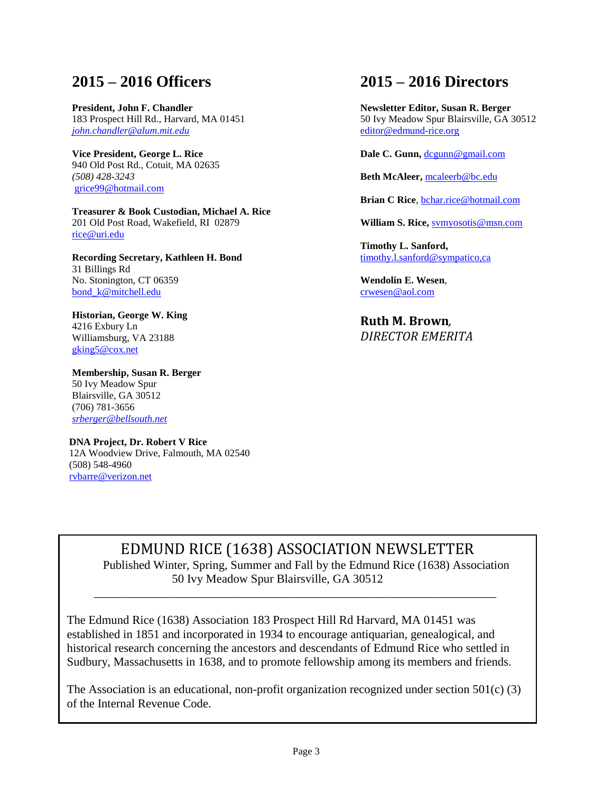### **2015 – 2016 Officers**

**President, John F. Chandler** 183 Prospect Hill Rd., Harvard, MA 01451 *[john.chandler@alum.mit.edu](mailto:john.chandler@alum.mit.edu)* 

**Vice President, George L. Rice** 940 Old Post Rd., Cotuit, MA 02635 *(508) 428-3243* [grice99@hotmail.com](mailto:grice99@hotmail.com)

**Treasurer & Book Custodian, Michael A. Rice** 201 Old Post Road, Wakefield, RI 02879 [rice@uri.edu](mailto:rice@uri.edu)

**Recording Secretary, Kathleen H. Bond** 31 Billings Rd No. Stonington, CT 06359 [bond\\_k@mitchell.edu](mailto:bond_k@mitchell.edu)

**Historian, George W. King** 4216 Exbury Ln Williamsburg, VA 23188 [gking5@cox.net](mailto:gking5@cox.net)

**Membership, Susan R. Berger** 50 Ivy Meadow Spur Blairsville, GA 30512 (706) 781-3656 *[srberger@bellsouth.net](mailto:srberger@bellsouth.net)*

 **DNA Project, Dr. Robert V Rice** 12A Woodview Drive, Falmouth, MA 02540 (508) 548-4960 [rvbarre@verizon.net](mailto:rvbarre@verizon.net)

### **2015 – 2016 Directors**

**Newsletter Editor, Susan R. Berger** 50 Ivy Meadow Spur Blairsville, GA 30512 [editor@edmund-rice.org](mailto:editor@edmund-rice.org)

**Dale C. Gunn,** [dcgunn@gmail.com](mailto:dcgunn@gmail.com)

**Beth McAleer,** [mcaleerb@bc.edu](mailto:mcaleerb@bc.edu)

**Brian C Rice**, [bchar.rice@hotmail.com](mailto:bchar.rice@hotmail.com)

**William S. Rice,** [svmyosotis@msn.com](mailto:svmyosotis@msn.com)

**Timothy L. Sanford,** [timothy.l.sanford@sympatico,ca](mailto:timothy.l.sanford@sympatico,ca)

**Wendolin E. Wesen**, [crwesen@aol.com](mailto:crwesen@aol.com)

**Ruth M. Brown***, DIRECTOR EMERITA*

EDMUND RICE (1638) ASSOCIATION NEWSLETTER Published Winter, Spring, Summer and Fall by the Edmund Rice (1638) Association 50 Ivy Meadow Spur Blairsville, GA 30512

The Edmund Rice (1638) Association 183 Prospect Hill Rd Harvard, MA 01451 was established in 1851 and incorporated in 1934 to encourage antiquarian, genealogical, and historical research concerning the ancestors and descendants of Edmund Rice who settled in Sudbury, Massachusetts in 1638, and to promote fellowship among its members and friends.

\_\_\_\_\_\_\_\_\_\_\_\_\_\_\_\_\_\_\_\_\_\_\_\_\_\_\_\_\_\_\_\_\_\_\_\_\_\_\_\_\_\_\_\_\_\_\_\_\_\_\_\_\_\_\_\_\_\_\_\_\_\_\_\_\_\_\_

The Association is an educational, non-profit organization recognized under section  $501(c)$  (3) of the Internal Revenue Code.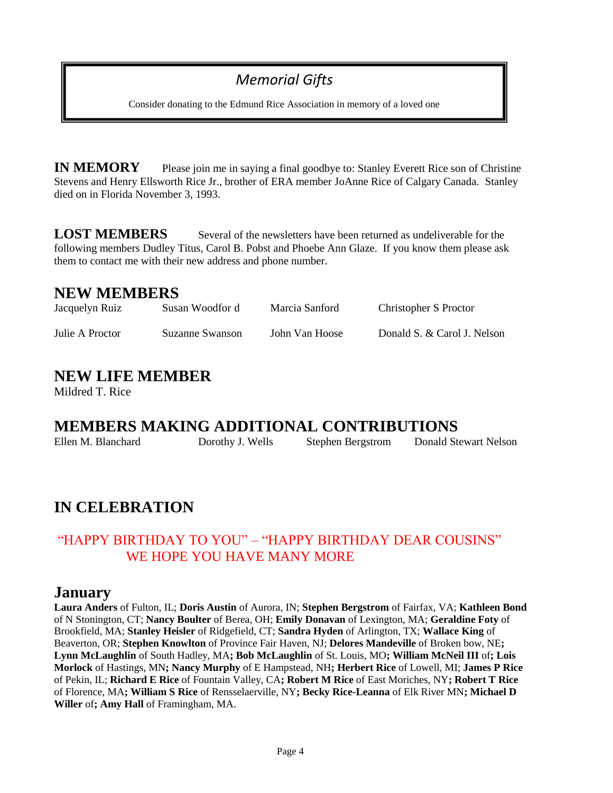## *Memorial Gifts*

Consider donating to the Edmund Rice Association in memory of a loved one

**IN MEMORY** Please join me in saying a final goodbye to: Stanley Everett Rice son of Christine Stevens and Henry Ellsworth Rice Jr., brother of ERA member JoAnne Rice of Calgary Canada. Stanley died on in Florida November 3, 1993.

**LOST MEMBERS** Several of the newsletters have been returned as undeliverable for the following members Dudley Titus, Carol B. Pobst and Phoebe Ann Glaze. If you know them please ask them to contact me with their new address and phone number.

### **NEW MEMBERS**

| Jacquelyn Ruiz  | Susan Woodfor d | Marcia Sanford | Christopher S Proctor       |
|-----------------|-----------------|----------------|-----------------------------|
| Julie A Proctor | Suzanne Swanson | John Van Hoose | Donald S. & Carol J. Nelson |

## **NEW LIFE MEMBER**

Mildred T. Rice

## **MEMBERS MAKING ADDITIONAL CONTRIBUTIONS**

| Ellen M. Blanchard | Dorothy J. Wells | <b>Stephen Bergstrom</b> | Donald Stewart Nelson |
|--------------------|------------------|--------------------------|-----------------------|
|                    |                  |                          |                       |

## **IN CELEBRATION**

#### "HAPPY BIRTHDAY TO YOU" – "HAPPY BIRTHDAY DEAR COUSINS" WE HOPE YOU HAVE MANY MORE

#### **January**

**Laura Anders** of Fulton, IL; **Doris Austin** of Aurora, IN; **Stephen Bergstrom** of Fairfax, VA; **Kathleen Bond** of N Stonington, CT; **Nancy Boulter** of Berea, OH; **Emily Donavan** of Lexington, MA; **Geraldine Foty** of Brookfield, MA; **Stanley Heisler** of Ridgefield, CT; **Sandra Hyden** of Arlington, TX; **Wallace King** of Beaverton, OR; **Stephen Knowlton** of Province Fair Haven, NJ; **Delores Mandeville** of Broken bow, NE**; Lynn McLaughlin** of South Hadley, MA**; Bob McLaughlin** of St. Louis, MO**; William McNeil III** of**; Lois Morlock** of Hastings, MN**; Nancy Murphy** of E Hampstead, NH**; Herbert Rice** of Lowell, MI; **James P Rice** of Pekin, IL; **Richard E Rice** of Fountain Valley, CA**; Robert M Rice** of East Moriches, NY**; Robert T Rice** of Florence, MA**; William S Rice** of Rensselaerville, NY**; Becky Rice-Leanna** of Elk River MN**; Michael D Willer** of**; Amy Hall** of Framingham, MA.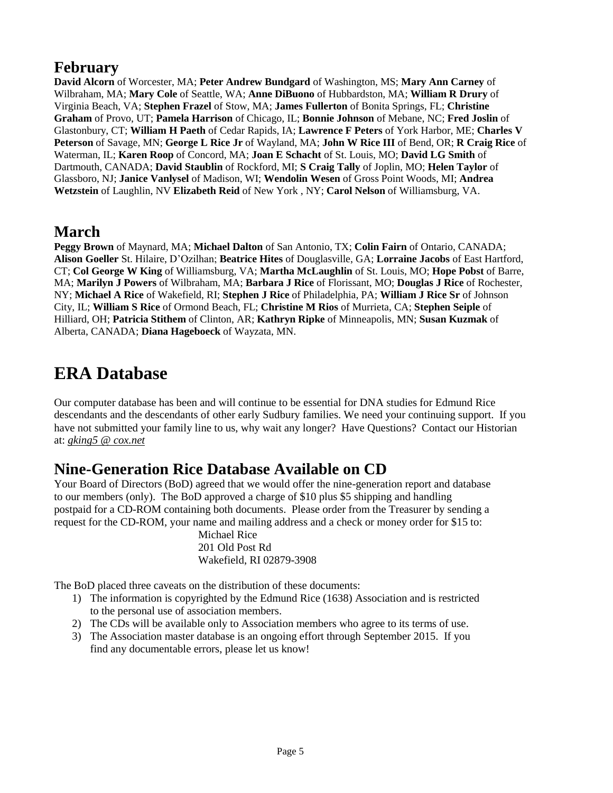## **February**

**David Alcorn** of Worcester, MA; **Peter Andrew Bundgard** of Washington, MS; **Mary Ann Carney** of Wilbraham, MA; **Mary Cole** of Seattle, WA; **Anne DiBuono** of Hubbardston, MA; **William R Drury** of Virginia Beach, VA; **Stephen Frazel** of Stow, MA; **James Fullerton** of Bonita Springs, FL; **Christine Graham** of Provo, UT; **Pamela Harrison** of Chicago, IL; **Bonnie Johnson** of Mebane, NC; **Fred Joslin** of Glastonbury, CT; **William H Paeth** of Cedar Rapids, IA; **Lawrence F Peters** of York Harbor, ME; **Charles V Peterson** of Savage, MN; **George L Rice Jr** of Wayland, MA; **John W Rice III** of Bend, OR; **R Craig Rice** of Waterman, IL; **Karen Roop** of Concord, MA; **Joan E Schacht** of St. Louis, MO; **David LG Smith** of Dartmouth, CANADA; **David Staublin** of Rockford, MI; **S Craig Tally** of Joplin, MO; **Helen Taylor** of Glassboro, NJ; **Janice Vanlysel** of Madison, WI; **Wendolin Wesen** of Gross Point Woods, MI; **Andrea Wetzstein** of Laughlin, NV **Elizabeth Reid** of New York , NY; **Carol Nelson** of Williamsburg, VA.

### **March**

**Peggy Brown** of Maynard, MA; **Michael Dalton** of San Antonio, TX; **Colin Fairn** of Ontario, CANADA; **Alison Goeller** St. Hilaire, D'Ozilhan; **Beatrice Hites** of Douglasville, GA; **Lorraine Jacobs** of East Hartford, CT; **Col George W King** of Williamsburg, VA; **Martha McLaughlin** of St. Louis, MO; **Hope Pobst** of Barre, MA; **Marilyn J Powers** of Wilbraham, MA; **Barbara J Rice** of Florissant, MO; **Douglas J Rice** of Rochester, NY; **Michael A Rice** of Wakefield, RI; **Stephen J Rice** of Philadelphia, PA; **William J Rice Sr** of Johnson City, IL; **William S Rice** of Ormond Beach, FL; **Christine M Rios** of Murrieta, CA; **Stephen Seiple** of Hilliard, OH; **Patricia Stithem** of Clinton, AR; **Kathryn Ripke** of Minneapolis, MN; **Susan Kuzmak** of Alberta, CANADA; **Diana Hageboeck** of Wayzata, MN.

## **ERA Database**

Our computer database has been and will continue to be essential for DNA studies for Edmund Rice descendants and the descendants of other early Sudbury families. We need your continuing support. If you have not submitted your family line to us, why wait any longer? Have Questions? Contact our Historian at: *[gking5 @ cox.net](mailto:gking5@cox.net)*

## **Nine-Generation Rice Database Available on CD**

Your Board of Directors (BoD) agreed that we would offer the nine-generation report and database to our members (only). The BoD approved a charge of \$10 plus \$5 shipping and handling postpaid for a CD-ROM containing both documents. Please order from the Treasurer by sending a request for the CD-ROM, your name and mailing address and a check or money order for \$15 to:

> Michael Rice 201 Old Post Rd Wakefield, RI 02879-3908

The BoD placed three caveats on the distribution of these documents:

- 1) The information is copyrighted by the Edmund Rice (1638) Association and is restricted to the personal use of association members.
- 2) The CDs will be available only to Association members who agree to its terms of use.
- 3) The Association master database is an ongoing effort through September 2015. If you find any documentable errors, please let us know!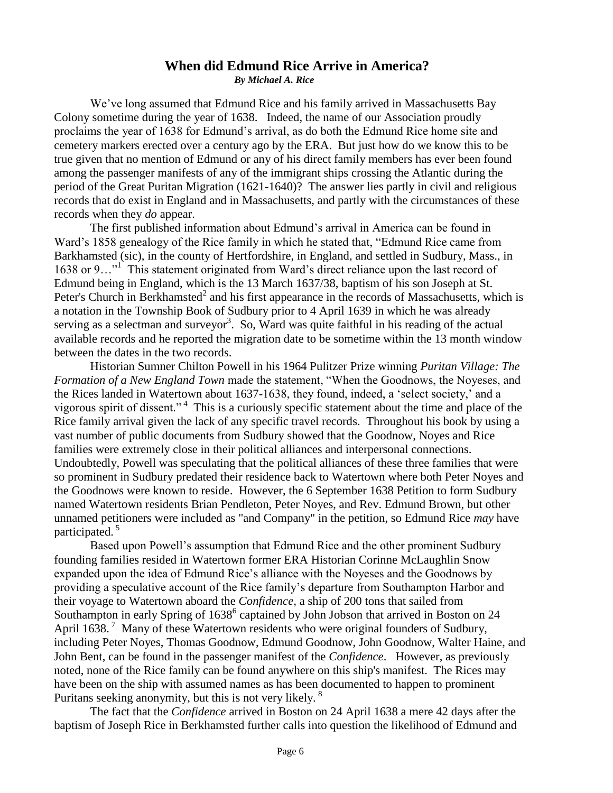#### **When did Edmund Rice Arrive in America?** *By Michael A. Rice*

We've long assumed that Edmund Rice and his family arrived in Massachusetts Bay Colony sometime during the year of 1638. Indeed, the name of our Association proudly proclaims the year of 1638 for Edmund's arrival, as do both the Edmund Rice home site and cemetery markers erected over a century ago by the ERA. But just how do we know this to be true given that no mention of Edmund or any of his direct family members has ever been found among the passenger manifests of any of the immigrant ships crossing the Atlantic during the period of the Great Puritan Migration (1621-1640)? The answer lies partly in civil and religious records that do exist in England and in Massachusetts, and partly with the circumstances of these records when they *do* appear.

The first published information about Edmund's arrival in America can be found in Ward's 1858 genealogy of the Rice family in which he stated that, "Edmund Rice came from Barkhamsted (sic), in the county of Hertfordshire, in England, and settled in Sudbury, Mass., in 1638 or 9..."<sup>1</sup> This statement originated from Ward's direct reliance upon the last record of Edmund being in England, which is the 13 March 1637/38, baptism of his son Joseph at St. Peter's Church in Berkhamsted<sup>2</sup> and his first appearance in the records of Massachusetts, which is a notation in the Township Book of Sudbury prior to 4 April 1639 in which he was already serving as a selectman and surveyor<sup>3</sup>. So, Ward was quite faithful in his reading of the actual available records and he reported the migration date to be sometime within the 13 month window between the dates in the two records.

Historian Sumner Chilton Powell in his 1964 Pulitzer Prize winning *Puritan Village: The Formation of a New England Town* made the statement, "When the Goodnows, the Noyeses, and the Rices landed in Watertown about 1637-1638, they found, indeed, a 'select society,' and a vigorous spirit of dissent." <sup>4</sup> This is a curiously specific statement about the time and place of the Rice family arrival given the lack of any specific travel records. Throughout his book by using a vast number of public documents from Sudbury showed that the Goodnow, Noyes and Rice families were extremely close in their political alliances and interpersonal connections. Undoubtedly, Powell was speculating that the political alliances of these three families that were so prominent in Sudbury predated their residence back to Watertown where both Peter Noyes and the Goodnows were known to reside. However, the 6 September 1638 Petition to form Sudbury named Watertown residents Brian Pendleton, Peter Noyes, and Rev. Edmund Brown, but other unnamed petitioners were included as "and Company" in the petition, so Edmund Rice *may* have participated.<sup>5</sup>

Based upon Powell's assumption that Edmund Rice and the other prominent Sudbury founding families resided in Watertown former ERA Historian Corinne McLaughlin Snow expanded upon the idea of Edmund Rice's alliance with the Noyeses and the Goodnows by providing a speculative account of the Rice family's departure from Southampton Harbor and their voyage to Watertown aboard the *Confidence,* a ship of 200 tons that sailed from Southampton in early Spring of 1638<sup>6</sup> captained by John Jobson that arrived in Boston on 24 April 1638.<sup>7</sup> Many of these Watertown residents who were original founders of Sudbury, including Peter Noyes, Thomas Goodnow, Edmund Goodnow, John Goodnow, Walter Haine, and John Bent, can be found in the passenger manifest of the *Confidence*. However, as previously noted, none of the Rice family can be found anywhere on this ship's manifest. The Rices may have been on the ship with assumed names as has been documented to happen to prominent Puritans seeking anonymity, but this is not very likely. <sup>8</sup>

The fact that the *Confidence* arrived in Boston on 24 April 1638 a mere 42 days after the baptism of Joseph Rice in Berkhamsted further calls into question the likelihood of Edmund and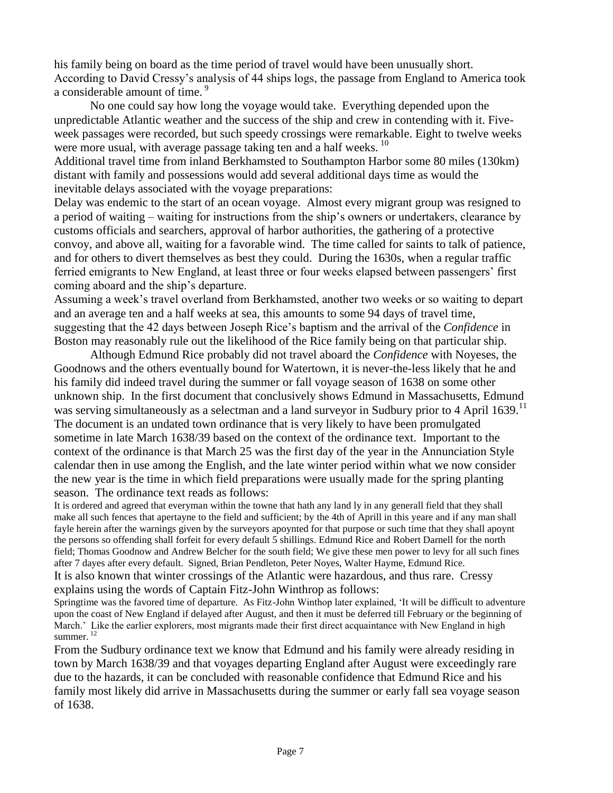his family being on board as the time period of travel would have been unusually short. According to David Cressy's analysis of 44 ships logs, the passage from England to America took a considerable amount of time.<sup>9</sup>

No one could say how long the voyage would take. Everything depended upon the unpredictable Atlantic weather and the success of the ship and crew in contending with it. Fiveweek passages were recorded, but such speedy crossings were remarkable. Eight to twelve weeks were more usual, with average passage taking ten and a half weeks.<sup>10</sup>

Additional travel time from inland Berkhamsted to Southampton Harbor some 80 miles (130km) distant with family and possessions would add several additional days time as would the inevitable delays associated with the voyage preparations:

Delay was endemic to the start of an ocean voyage. Almost every migrant group was resigned to a period of waiting – waiting for instructions from the ship's owners or undertakers, clearance by customs officials and searchers, approval of harbor authorities, the gathering of a protective convoy, and above all, waiting for a favorable wind. The time called for saints to talk of patience, and for others to divert themselves as best they could. During the 1630s, when a regular traffic ferried emigrants to New England, at least three or four weeks elapsed between passengers' first coming aboard and the ship's departure.

Assuming a week's travel overland from Berkhamsted, another two weeks or so waiting to depart and an average ten and a half weeks at sea, this amounts to some 94 days of travel time, suggesting that the 42 days between Joseph Rice's baptism and the arrival of the *Confidence* in Boston may reasonably rule out the likelihood of the Rice family being on that particular ship.

Although Edmund Rice probably did not travel aboard the *Confidence* with Noyeses, the Goodnows and the others eventually bound for Watertown, it is never-the-less likely that he and his family did indeed travel during the summer or fall voyage season of 1638 on some other unknown ship. In the first document that conclusively shows Edmund in Massachusetts, Edmund was serving simultaneously as a selectman and a land surveyor in Sudbury prior to 4 April 1639.<sup>11</sup> The document is an undated town ordinance that is very likely to have been promulgated sometime in late March 1638/39 based on the context of the ordinance text. Important to the context of the ordinance is that March 25 was the first day of the year in the Annunciation Style calendar then in use among the English, and the late winter period within what we now consider the new year is the time in which field preparations were usually made for the spring planting season. The ordinance text reads as follows:

It is ordered and agreed that everyman within the towne that hath any land ly in any generall field that they shall make all such fences that apertayne to the field and sufficient; by the 4th of Aprill in this yeare and if any man shall fayle herein after the warnings given by the surveyors apoynted for that purpose or such time that they shall apoynt the persons so offending shall forfeit for every default 5 shillings. Edmund Rice and Robert Darnell for the north field; Thomas Goodnow and Andrew Belcher for the south field; We give these men power to levy for all such fines after 7 dayes after every default. Signed, Brian Pendleton, Peter Noyes, Walter Hayme, Edmund Rice. It is also known that winter crossings of the Atlantic were hazardous, and thus rare. Cressy explains using the words of Captain Fitz-John Winthrop as follows:

Springtime was the favored time of departure. As Fitz-John Winthop later explained, 'It will be difficult to adventure upon the coast of New England if delayed after August, and then it must be deferred till February or the beginning of March.' Like the earlier explorers, most migrants made their first direct acquaintance with New England in high summer.<sup>12</sup>

From the Sudbury ordinance text we know that Edmund and his family were already residing in town by March 1638/39 and that voyages departing England after August were exceedingly rare due to the hazards, it can be concluded with reasonable confidence that Edmund Rice and his family most likely did arrive in Massachusetts during the summer or early fall sea voyage season of 1638.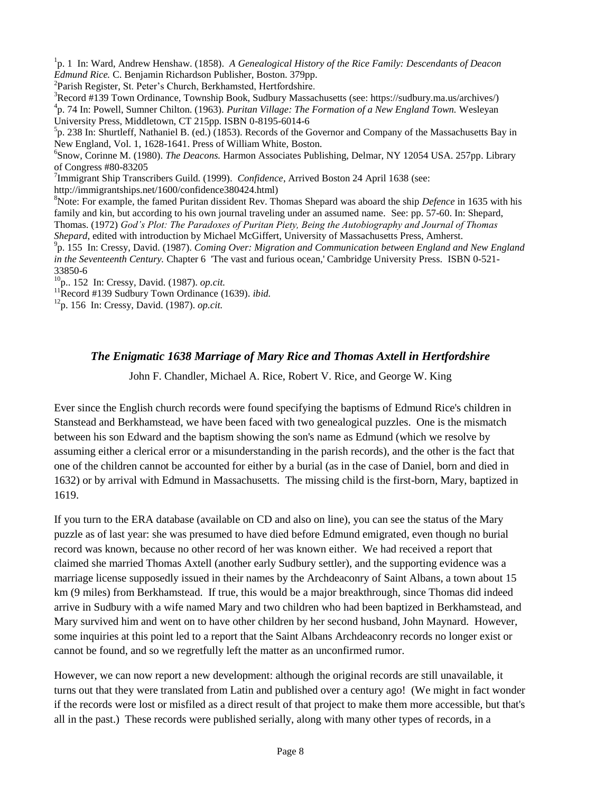<sup>1</sup> p. 1 In: Ward, Andrew Henshaw. (1858). *A Genealogical History of the Rice Family: Descendants of Deacon Edmund Rice.* C. Benjamin Richardson Publisher, Boston. 379pp.

2 Parish Register, St. Peter's Church, Berkhamsted, Hertfordshire.

<sup>3</sup>Record #139 Town Ordinance, Township Book, Sudbury Massachusetts (see: https://sudbury.ma.us/archives/) 4 p. 74 In: Powell, Sumner Chilton. (1963). *Puritan Village: The Formation of a New England Town.* Wesleyan University Press, Middletown, CT 215pp. ISBN 0-8195-6014-6

 $5p. 238$  In: Shurtleff, Nathaniel B. (ed.) (1853). Records of the Governor and Company of the Massachusetts Bay in New England, Vol. 1, 1628-1641. Press of William White, Boston.

6 Snow, Corinne M. (1980). *The Deacons.* Harmon Associates Publishing, Delmar, NY 12054 USA. 257pp. Library of Congress #80-83205

7 Immigrant Ship Transcribers Guild. (1999). *Confidence*, Arrived Boston 24 April 1638 (see: http://immigrantships.net/1600/confidence380424.html)

<sup>8</sup>Note: For example, the famed Puritan dissident Rev. Thomas Shepard was aboard the ship *Defence* in 1635 with his family and kin, but according to his own journal traveling under an assumed name. See: pp. 57-60. In: Shepard,

Thomas. (1972) *God's Plot: The Paradoxes of Puritan Piety, Being the Autobiography and Journal of Thomas Shepard*, edited with introduction by Michael McGiffert, University of Massachusetts Press, Amherst.

9 p. 155 In: Cressy, David. (1987). *Coming Over: Migration and Communication between England and New England in the Seventeenth Century.* Chapter 6 'The vast and furious ocean,' Cambridge University Press. ISBN 0-521- 33850-6

<sup>10</sup>p.. 152 In: Cressy, David. (1987). *op.cit.*

<sup>11</sup>Record #139 Sudbury Town Ordinance (1639). *ibid.* 

<sup>12</sup>p. 156 In: Cressy, David. (1987). *op.cit.*

#### *The Enigmatic 1638 Marriage of Mary Rice and Thomas Axtell in Hertfordshire*

John F. Chandler, Michael A. Rice, Robert V. Rice, and George W. King

Ever since the English church records were found specifying the baptisms of Edmund Rice's children in Stanstead and Berkhamstead, we have been faced with two genealogical puzzles. One is the mismatch between his son Edward and the baptism showing the son's name as Edmund (which we resolve by assuming either a clerical error or a misunderstanding in the parish records), and the other is the fact that one of the children cannot be accounted for either by a burial (as in the case of Daniel, born and died in 1632) or by arrival with Edmund in Massachusetts. The missing child is the first-born, Mary, baptized in 1619.

If you turn to the ERA database (available on CD and also on line), you can see the status of the Mary puzzle as of last year: she was presumed to have died before Edmund emigrated, even though no burial record was known, because no other record of her was known either. We had received a report that claimed she married Thomas Axtell (another early Sudbury settler), and the supporting evidence was a marriage license supposedly issued in their names by the Archdeaconry of Saint Albans, a town about 15 km (9 miles) from Berkhamstead. If true, this would be a major breakthrough, since Thomas did indeed arrive in Sudbury with a wife named Mary and two children who had been baptized in Berkhamstead, and Mary survived him and went on to have other children by her second husband, John Maynard. However, some inquiries at this point led to a report that the Saint Albans Archdeaconry records no longer exist or cannot be found, and so we regretfully left the matter as an unconfirmed rumor.

However, we can now report a new development: although the original records are still unavailable, it turns out that they were translated from Latin and published over a century ago! (We might in fact wonder if the records were lost or misfiled as a direct result of that project to make them more accessible, but that's all in the past.) These records were published serially, along with many other types of records, in a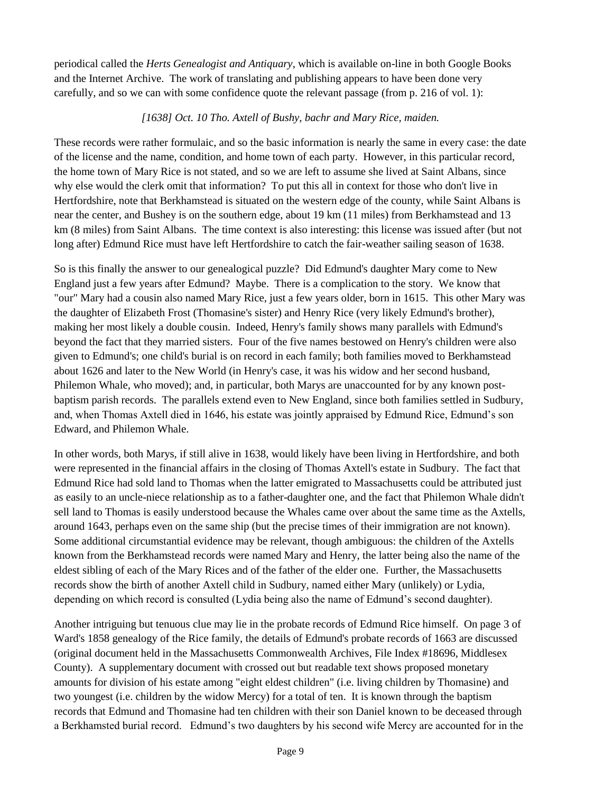periodical called the *Herts Genealogist and Antiquary*, which is available on-line in both Google Books and the Internet Archive. The work of translating and publishing appears to have been done very carefully, and so we can with some confidence quote the relevant passage (from p. 216 of vol. 1):

#### *[1638] Oct. 10 Tho. Axtell of Bushy, bachr and Mary Rice, maiden.*

These records were rather formulaic, and so the basic information is nearly the same in every case: the date of the license and the name, condition, and home town of each party. However, in this particular record, the home town of Mary Rice is not stated, and so we are left to assume she lived at Saint Albans, since why else would the clerk omit that information? To put this all in context for those who don't live in Hertfordshire, note that Berkhamstead is situated on the western edge of the county, while Saint Albans is near the center, and Bushey is on the southern edge, about 19 km (11 miles) from Berkhamstead and 13 km (8 miles) from Saint Albans. The time context is also interesting: this license was issued after (but not long after) Edmund Rice must have left Hertfordshire to catch the fair-weather sailing season of 1638.

So is this finally the answer to our genealogical puzzle? Did Edmund's daughter Mary come to New England just a few years after Edmund? Maybe. There is a complication to the story. We know that "our" Mary had a cousin also named Mary Rice, just a few years older, born in 1615. This other Mary was the daughter of Elizabeth Frost (Thomasine's sister) and Henry Rice (very likely Edmund's brother), making her most likely a double cousin. Indeed, Henry's family shows many parallels with Edmund's beyond the fact that they married sisters. Four of the five names bestowed on Henry's children were also given to Edmund's; one child's burial is on record in each family; both families moved to Berkhamstead about 1626 and later to the New World (in Henry's case, it was his widow and her second husband, Philemon Whale, who moved); and, in particular, both Marys are unaccounted for by any known postbaptism parish records. The parallels extend even to New England, since both families settled in Sudbury, and, when Thomas Axtell died in 1646, his estate was jointly appraised by Edmund Rice, Edmund's son Edward, and Philemon Whale.

In other words, both Marys, if still alive in 1638, would likely have been living in Hertfordshire, and both were represented in the financial affairs in the closing of Thomas Axtell's estate in Sudbury. The fact that Edmund Rice had sold land to Thomas when the latter emigrated to Massachusetts could be attributed just as easily to an uncle-niece relationship as to a father-daughter one, and the fact that Philemon Whale didn't sell land to Thomas is easily understood because the Whales came over about the same time as the Axtells, around 1643, perhaps even on the same ship (but the precise times of their immigration are not known). Some additional circumstantial evidence may be relevant, though ambiguous: the children of the Axtells known from the Berkhamstead records were named Mary and Henry, the latter being also the name of the eldest sibling of each of the Mary Rices and of the father of the elder one. Further, the Massachusetts records show the birth of another Axtell child in Sudbury, named either Mary (unlikely) or Lydia, depending on which record is consulted (Lydia being also the name of Edmund's second daughter).

Another intriguing but tenuous clue may lie in the probate records of Edmund Rice himself. On page 3 of Ward's 1858 genealogy of the Rice family, the details of Edmund's probate records of 1663 are discussed (original document held in the Massachusetts Commonwealth Archives, File Index #18696, Middlesex County). A supplementary document with crossed out but readable text shows proposed monetary amounts for division of his estate among "eight eldest children" (i.e. living children by Thomasine) and two youngest (i.e. children by the widow Mercy) for a total of ten. It is known through the baptism records that Edmund and Thomasine had ten children with their son Daniel known to be deceased through a Berkhamsted burial record. Edmund's two daughters by his second wife Mercy are accounted for in the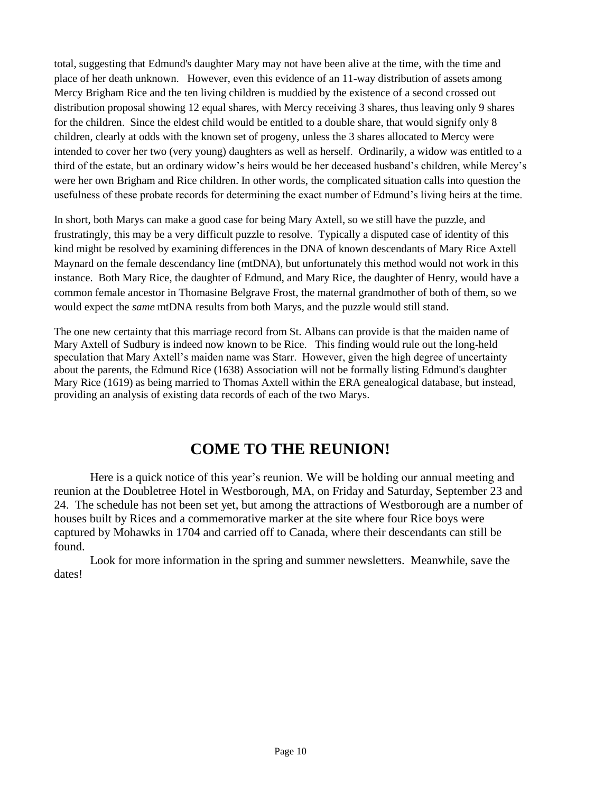total, suggesting that Edmund's daughter Mary may not have been alive at the time, with the time and place of her death unknown. However, even this evidence of an 11-way distribution of assets among Mercy Brigham Rice and the ten living children is muddied by the existence of a second crossed out distribution proposal showing 12 equal shares, with Mercy receiving 3 shares, thus leaving only 9 shares for the children. Since the eldest child would be entitled to a double share, that would signify only 8 children, clearly at odds with the known set of progeny, unless the 3 shares allocated to Mercy were intended to cover her two (very young) daughters as well as herself. Ordinarily, a widow was entitled to a third of the estate, but an ordinary widow's heirs would be her deceased husband's children, while Mercy's were her own Brigham and Rice children. In other words, the complicated situation calls into question the usefulness of these probate records for determining the exact number of Edmund's living heirs at the time.

In short, both Marys can make a good case for being Mary Axtell, so we still have the puzzle, and frustratingly, this may be a very difficult puzzle to resolve. Typically a disputed case of identity of this kind might be resolved by examining differences in the DNA of known descendants of Mary Rice Axtell Maynard on the female descendancy line (mtDNA), but unfortunately this method would not work in this instance. Both Mary Rice, the daughter of Edmund, and Mary Rice, the daughter of Henry, would have a common female ancestor in Thomasine Belgrave Frost, the maternal grandmother of both of them, so we would expect the *same* mtDNA results from both Marys, and the puzzle would still stand.

The one new certainty that this marriage record from St. Albans can provide is that the maiden name of Mary Axtell of Sudbury is indeed now known to be Rice. This finding would rule out the long-held speculation that Mary Axtell's maiden name was Starr. However, given the high degree of uncertainty about the parents, the Edmund Rice (1638) Association will not be formally listing Edmund's daughter Mary Rice (1619) as being married to Thomas Axtell within the ERA genealogical database, but instead, providing an analysis of existing data records of each of the two Marys.

## **COME TO THE REUNION!**

Here is a quick notice of this year's reunion. We will be holding our annual meeting and reunion at the Doubletree Hotel in Westborough, MA, on Friday and Saturday, September 23 and 24. The schedule has not been set yet, but among the attractions of Westborough are a number of houses built by Rices and a commemorative marker at the site where four Rice boys were captured by Mohawks in 1704 and carried off to Canada, where their descendants can still be found.

Look for more information in the spring and summer newsletters. Meanwhile, save the dates!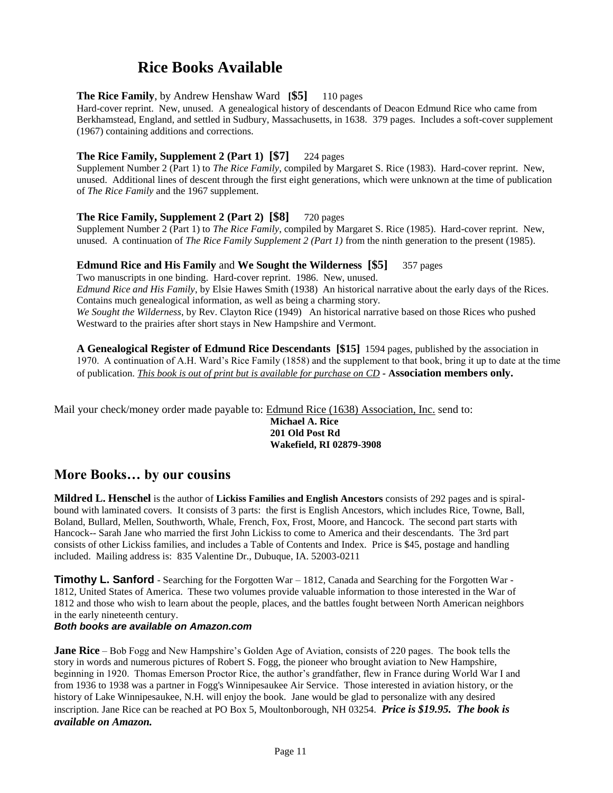### **Rice Books Available**

#### **The Rice Family**, by Andrew Henshaw Ward **[\$5]** 110 pages

Hard-cover reprint. New, unused. A genealogical history of descendants of Deacon Edmund Rice who came from Berkhamstead, England, and settled in Sudbury, Massachusetts, in 1638. 379 pages. Includes a soft-cover supplement (1967) containing additions and corrections.

#### **The Rice Family, Supplement 2 (Part 1) [\$7]** 224 pages

Supplement Number 2 (Part 1) to *The Rice Family*, compiled by Margaret S. Rice (1983). Hard-cover reprint. New, unused. Additional lines of descent through the first eight generations, which were unknown at the time of publication of *The Rice Family* and the 1967 supplement.

#### **The Rice Family, Supplement 2 (Part 2) [\$8]** 720 pages

Supplement Number 2 (Part 1) to *The Rice Family*, compiled by Margaret S. Rice (1985). Hard-cover reprint. New, unused. A continuation of *The Rice Family Supplement 2 (Part 1)* from the ninth generation to the present (1985).

#### **Edmund Rice and His Family** and **We Sought the Wilderness [\$5]** 357 pages

Two manuscripts in one binding. Hard-cover reprint. 1986. New, unused. *Edmund Rice and His Family*, by Elsie Hawes Smith (1938) An historical narrative about the early days of the Rices. Contains much genealogical information, as well as being a charming story. *We Sought the Wilderness*, by Rev. Clayton Rice (1949) An historical narrative based on those Rices who pushed Westward to the prairies after short stays in New Hampshire and Vermont.

**A Genealogical Register of Edmund Rice Descendants [\$15]** 1594 pages, published by the association in 1970. A continuation of A.H. Ward's Rice Family (1858) and the supplement to that book, bring it up to date at the time of publication. *This book is out of print but is available for purchase on CD -* **Association members only.**

Mail your check/money order made payable to: Edmund Rice (1638) Association, Inc. send to:

**Michael A. Rice 201 Old Post Rd Wakefield, RI 02879-3908**

#### **More Books… by our cousins**

**Mildred L. Henschel** is the author of **Lickiss Families and English Ancestors** consists of 292 pages and is spiralbound with laminated covers. It consists of 3 parts: the first is English Ancestors, which includes Rice, Towne, Ball, Boland, Bullard, Mellen, Southworth, Whale, French, Fox, Frost, Moore, and Hancock. The second part starts with Hancock-- Sarah Jane who married the first John Lickiss to come to America and their descendants. The 3rd part consists of other Lickiss families, and includes a Table of Contents and Index. Price is \$45, postage and handling included. Mailing address is: 835 Valentine Dr., Dubuque, IA. 52003-0211

**Timothy L. Sanford** - Searching for the Forgotten War – 1812, Canada and Searching for the Forgotten War -1812, United States of America. These two volumes provide valuable information to those interested in the War of 1812 and those who wish to learn about the people, places, and the battles fought between North American neighbors in the early nineteenth century.

#### *Both books are available on Amazon.com*

**Jane Rice** – Bob Fogg and New Hampshire's Golden Age of Aviation, consists of 220 pages. The book tells the story in words and numerous pictures of Robert S. Fogg, the pioneer who brought aviation to New Hampshire, beginning in 1920. Thomas Emerson Proctor Rice, the author's grandfather, flew in France during World War I and from 1936 to 1938 was a partner in Fogg's Winnipesaukee Air Service. Those interested in aviation history, or the history of Lake Winnipesaukee, N.H. will enjoy the book. Jane would be glad to personalize with any desired inscription. Jane Rice can be reached at PO Box 5, Moultonborough, NH 03254. *Price is \$19.95. The book is available on Amazon.*